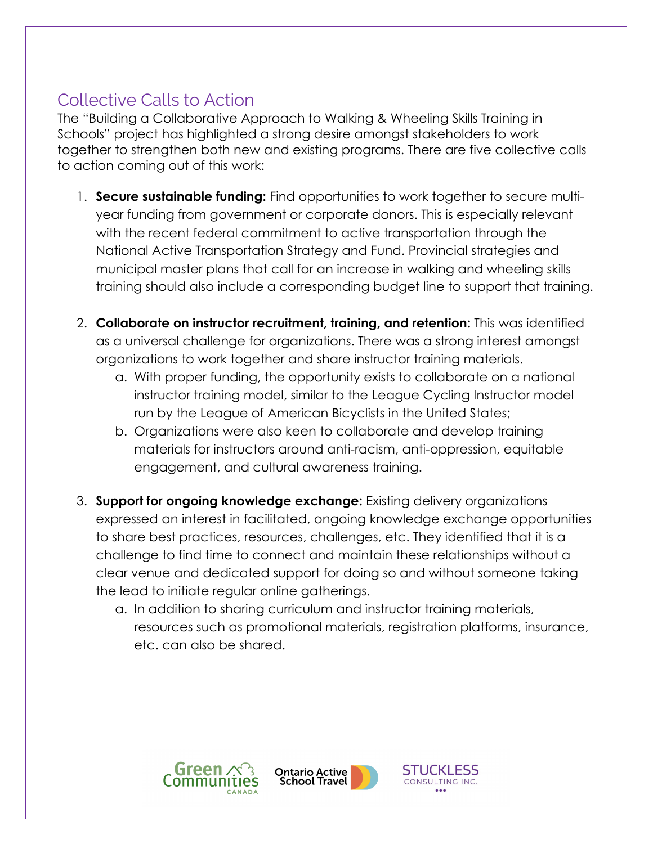## Collective Calls to Action

The "Building a Collaborative Approach to Walking & Wheeling Skills Training in Schools" project has highlighted a strong desire amongst stakeholders to work together to strengthen both new and existing programs. There are five collective calls to action coming out of this work:

- 1. **Secure sustainable funding:** Find opportunities to work together to secure multiyear funding from government or corporate donors. This is especially relevant with the recent federal commitment to active transportation through the National Active Transportation Strategy and Fund. Provincial strategies and municipal master plans that call for an increase in walking and wheeling skills training should also include a corresponding budget line to support that training.
- 2. **Collaborate on instructor recruitment, training, and retention:** This was identified as a universal challenge for organizations. There was a strong interest amongst organizations to work together and share instructor training materials.
	- a. With proper funding, the opportunity exists to collaborate on a national instructor training model, similar to the League Cycling Instructor model run by the League of American Bicyclists in the United States;
	- b. Organizations were also keen to collaborate and develop training materials for instructors around anti-racism, anti-oppression, equitable engagement, and cultural awareness training.
- 3. **Support for ongoing knowledge exchange:** Existing delivery organizations expressed an interest in facilitated, ongoing knowledge exchange opportunities to share best practices, resources, challenges, etc. They identified that it is a challenge to find time to connect and maintain these relationships without a clear venue and dedicated support for doing so and without someone taking the lead to initiate regular online gatherings.
	- a. In addition to sharing curriculum and instructor training materials, resources such as promotional materials, registration platforms, insurance, etc. can also be shared.